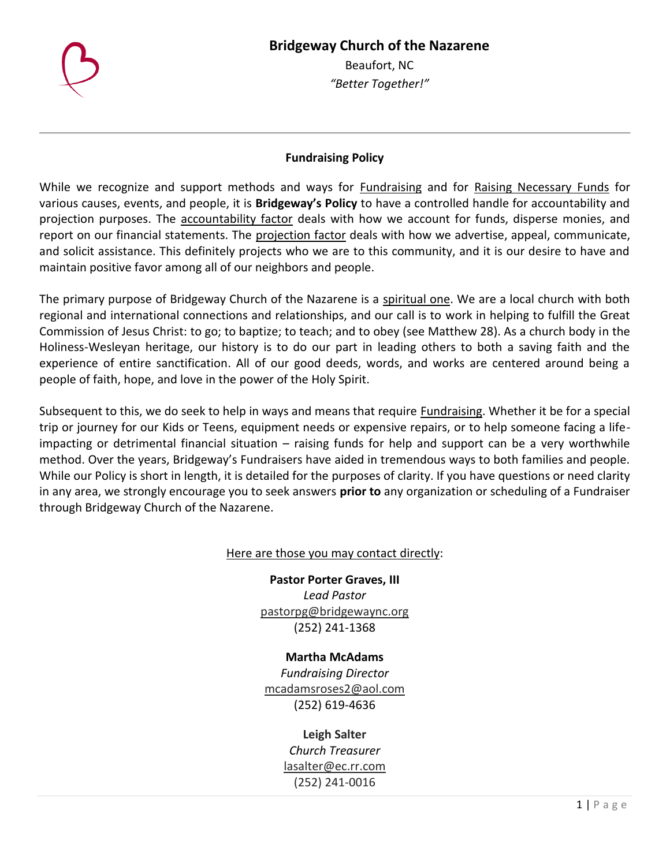## **Bridgeway Church of the Nazarene**



Beaufort, NC *"Better Together!"*

## **Fundraising Policy**

While we recognize and support methods and ways for Fundraising and for Raising Necessary Funds for various causes, events, and people, it is **Bridgeway's Policy** to have a controlled handle for accountability and projection purposes. The accountability factor deals with how we account for funds, disperse monies, and report on our financial statements. The projection factor deals with how we advertise, appeal, communicate, and solicit assistance. This definitely projects who we are to this community, and it is our desire to have and maintain positive favor among all of our neighbors and people.

The primary purpose of Bridgeway Church of the Nazarene is a spiritual one. We are a local church with both regional and international connections and relationships, and our call is to work in helping to fulfill the Great Commission of Jesus Christ: to go; to baptize; to teach; and to obey (see Matthew 28). As a church body in the Holiness-Wesleyan heritage, our history is to do our part in leading others to both a saving faith and the experience of entire sanctification. All of our good deeds, words, and works are centered around being a people of faith, hope, and love in the power of the Holy Spirit.

Subsequent to this, we do seek to help in ways and means that require Fundraising. Whether it be for a special trip or journey for our Kids or Teens, equipment needs or expensive repairs, or to help someone facing a lifeimpacting or detrimental financial situation – raising funds for help and support can be a very worthwhile method. Over the years, Bridgeway's Fundraisers have aided in tremendous ways to both families and people. While our Policy is short in length, it is detailed for the purposes of clarity. If you have questions or need clarity in any area, we strongly encourage you to seek answers **prior to** any organization or scheduling of a Fundraiser through Bridgeway Church of the Nazarene.

## Here are those you may contact directly:

**Pastor Porter Graves, III** *Lead Pastor* [pastorpg@bridgewaync.org](mailto:pastorpg@bridgewaync.org) (252) 241-1368

**Martha McAdams** *Fundraising Director* [mcadamsroses2@aol.com](mailto:mcadamsroses2@aol.com) (252) 619-4636

> **Leigh Salter** *Church Treasurer* [lasalter@ec.rr.com](mailto:lasalter@ec.rr.com) (252) 241-0016